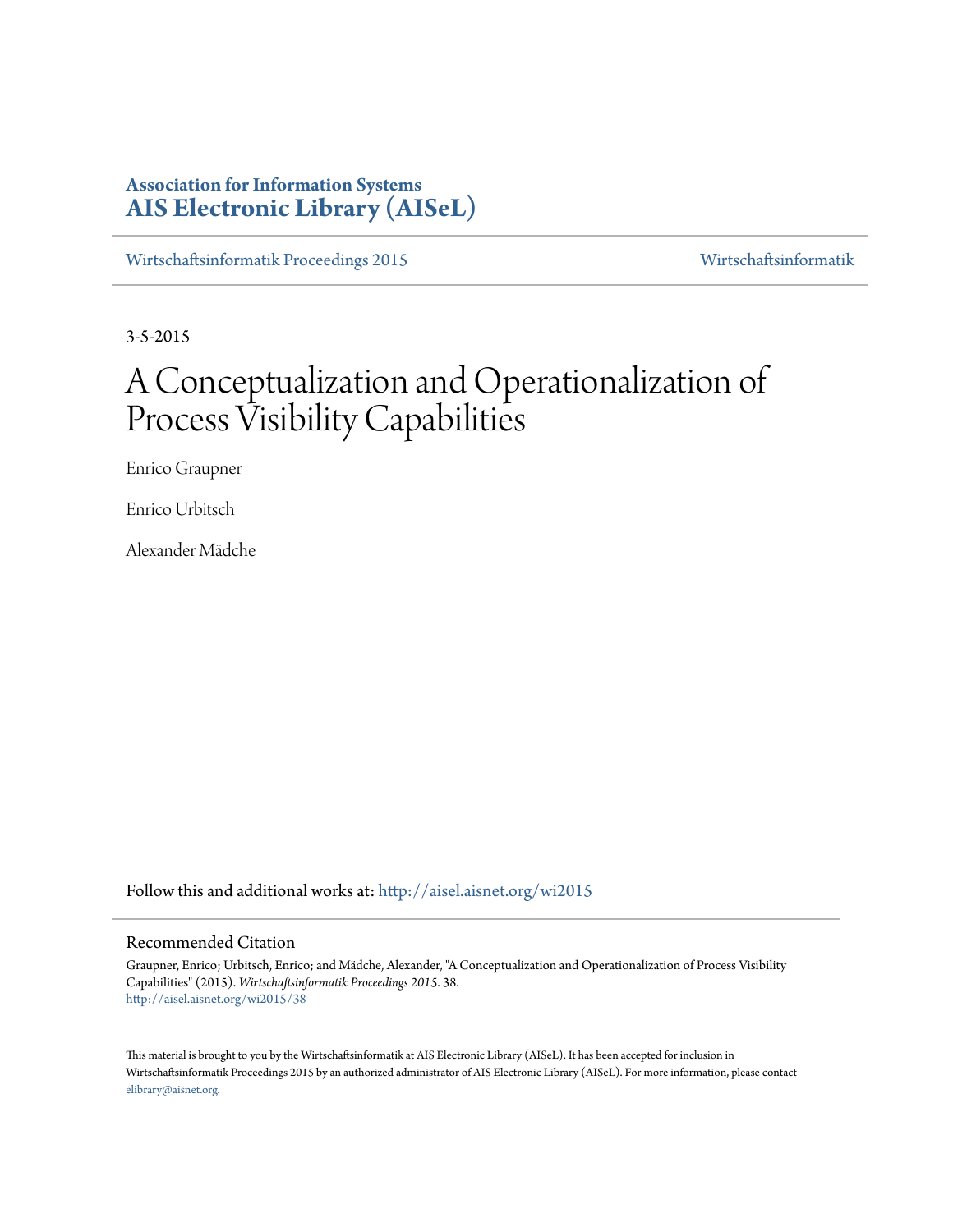# **Association for Information Systems [AIS Electronic Library \(AISeL\)](http://aisel.aisnet.org?utm_source=aisel.aisnet.org%2Fwi2015%2F38&utm_medium=PDF&utm_campaign=PDFCoverPages)**

[Wirtschaftsinformatik Proceedings 2015](http://aisel.aisnet.org/wi2015?utm_source=aisel.aisnet.org%2Fwi2015%2F38&utm_medium=PDF&utm_campaign=PDFCoverPages) [Wirtschaftsinformatik](http://aisel.aisnet.org/wi?utm_source=aisel.aisnet.org%2Fwi2015%2F38&utm_medium=PDF&utm_campaign=PDFCoverPages)

3-5-2015

# A Conceptualization and Operationalization of Process Visibility Capabilities

Enrico Graupner

Enrico Urbitsch

Alexander Mädche

Follow this and additional works at: [http://aisel.aisnet.org/wi2015](http://aisel.aisnet.org/wi2015?utm_source=aisel.aisnet.org%2Fwi2015%2F38&utm_medium=PDF&utm_campaign=PDFCoverPages)

## Recommended Citation

Graupner, Enrico; Urbitsch, Enrico; and Mädche, Alexander, "A Conceptualization and Operationalization of Process Visibility Capabilities" (2015). *Wirtschaftsinformatik Proceedings 2015*. 38. [http://aisel.aisnet.org/wi2015/38](http://aisel.aisnet.org/wi2015/38?utm_source=aisel.aisnet.org%2Fwi2015%2F38&utm_medium=PDF&utm_campaign=PDFCoverPages)

This material is brought to you by the Wirtschaftsinformatik at AIS Electronic Library (AISeL). It has been accepted for inclusion in Wirtschaftsinformatik Proceedings 2015 by an authorized administrator of AIS Electronic Library (AISeL). For more information, please contact [elibrary@aisnet.org.](mailto:elibrary@aisnet.org%3E)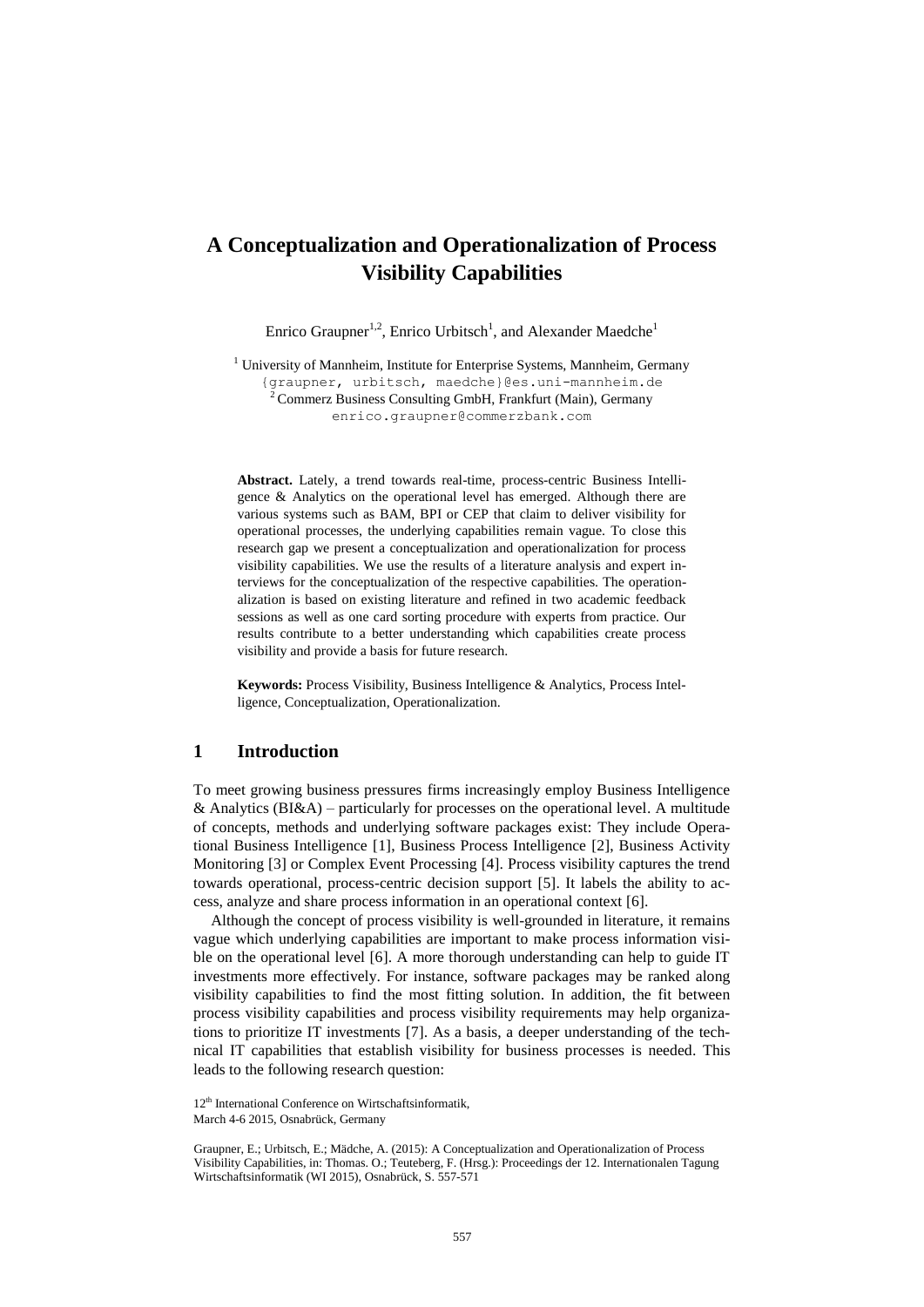# **A Conceptualization and Operationalization of Process Visibility Capabilities**

Enrico Graupner<sup>1,2</sup>, Enrico Urbitsch<sup>1</sup>, and Alexander Maedche<sup>1</sup>

<sup>1</sup> University of Mannheim, Institute for Enterprise Systems, Mannheim, Germany {graupner, urbitsch, [maedche}@es.uni-mannheim.de](mailto:maedche%7d@es.uni-mannheim.de)  $2^2$ Commerz Business Consulting GmbH, Frankfurt (Main), Germany [enrico.graupner@commerzbank.com](mailto:enrico.graupner@commerzbank.com)

**Abstract.** Lately, a trend towards real-time, process-centric Business Intelligence & Analytics on the operational level has emerged. Although there are various systems such as BAM, BPI or CEP that claim to deliver visibility for operational processes, the underlying capabilities remain vague. To close this research gap we present a conceptualization and operationalization for process visibility capabilities. We use the results of a literature analysis and expert interviews for the conceptualization of the respective capabilities. The operationalization is based on existing literature and refined in two academic feedback sessions as well as one card sorting procedure with experts from practice. Our results contribute to a better understanding which capabilities create process visibility and provide a basis for future research.

**Keywords:** Process Visibility, Business Intelligence & Analytics, Process Intelligence, Conceptualization, Operationalization.

# **1 Introduction**

To meet growing business pressures firms increasingly employ Business Intelligence & Analytics  $(BI\&A)$  – particularly for processes on the operational level. A multitude of concepts, methods and underlying software packages exist: They include Operational Business Intelligence [1], Business Process Intelligence [2], Business Activity Monitoring [3] or Complex Event Processing [4]. Process visibility captures the trend towards operational, process-centric decision support [5]. It labels the ability to access, analyze and share process information in an operational context [6].

Although the concept of process visibility is well-grounded in literature, it remains vague which underlying capabilities are important to make process information visible on the operational level [6]. A more thorough understanding can help to guide IT investments more effectively. For instance, software packages may be ranked along visibility capabilities to find the most fitting solution. In addition, the fit between process visibility capabilities and process visibility requirements may help organizations to prioritize IT investments [7]. As a basis, a deeper understanding of the technical IT capabilities that establish visibility for business processes is needed. This leads to the following research question:

<sup>12&</sup>lt;sup>th</sup> International Conference on Wirtschaftsinformatik, March 4-6 2015, Osnabrück, Germany

Graupner, E.; Urbitsch, E.; Mädche, A. (2015): A Conceptualization and Operationalization of Process Visibility Capabilities, in: Thomas. O.; Teuteberg, F. (Hrsg.): Proceedings der 12. Internationalen Tagung Wirtschaftsinformatik (WI 2015), Osnabrück, S. 557-571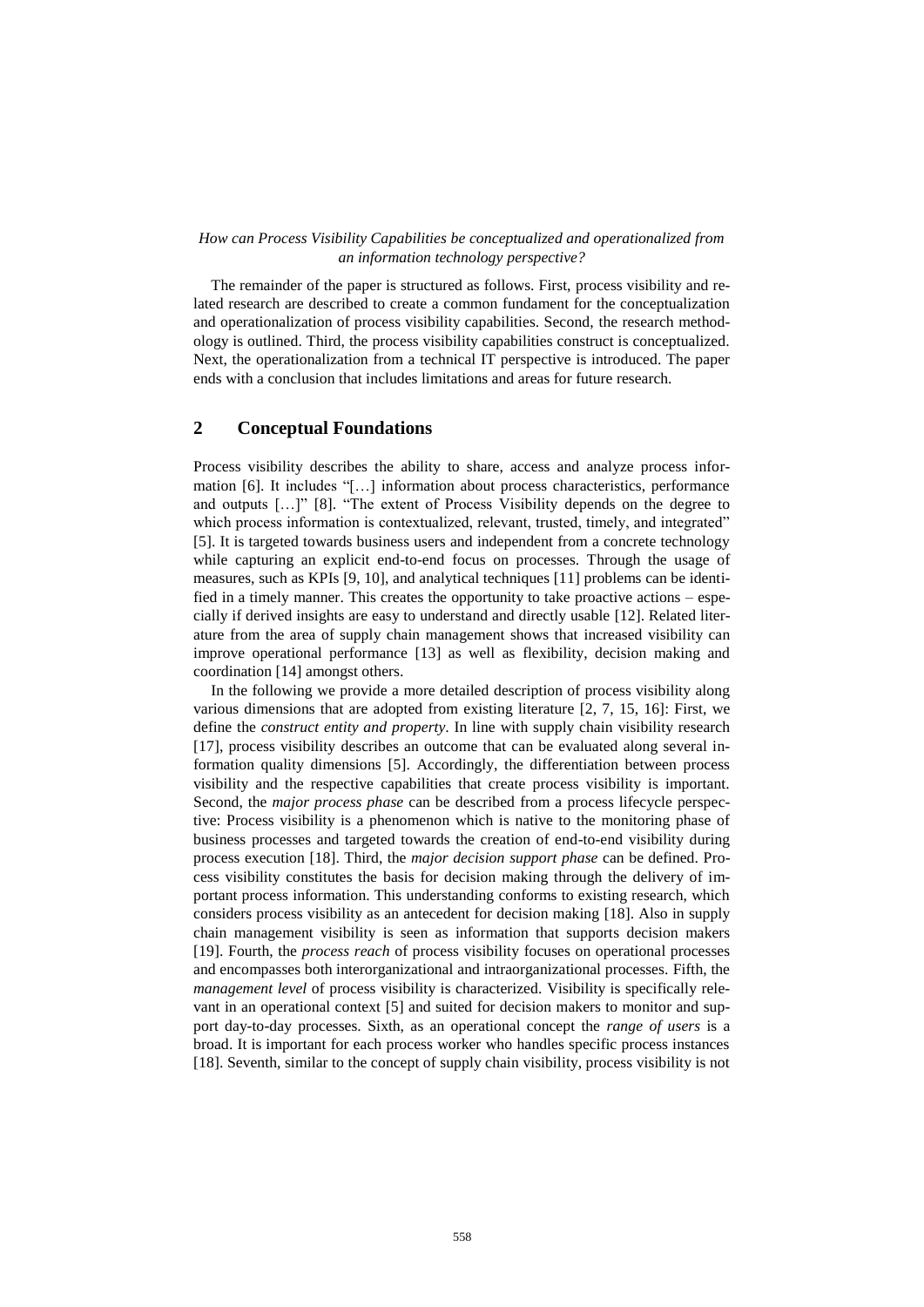#### *How can Process Visibility Capabilities be conceptualized and operationalized from an information technology perspective?*

The remainder of the paper is structured as follows. First, process visibility and related research are described to create a common fundament for the conceptualization and operationalization of process visibility capabilities. Second, the research methodology is outlined. Third, the process visibility capabilities construct is conceptualized. Next, the operationalization from a technical IT perspective is introduced. The paper ends with a conclusion that includes limitations and areas for future research.

# **2 Conceptual Foundations**

Process visibility describes the ability to share, access and analyze process information [6]. It includes "[…] information about process characteristics, performance and outputs […]" [8]. "The extent of Process Visibility depends on the degree to which process information is contextualized, relevant, trusted, timely, and integrated" [5]. It is targeted towards business users and independent from a concrete technology while capturing an explicit end-to-end focus on processes. Through the usage of measures, such as KPIs [9, 10], and analytical techniques [11] problems can be identified in a timely manner. This creates the opportunity to take proactive actions – especially if derived insights are easy to understand and directly usable [12]. Related literature from the area of supply chain management shows that increased visibility can improve operational performance [13] as well as flexibility, decision making and coordination [14] amongst others.

In the following we provide a more detailed description of process visibility along various dimensions that are adopted from existing literature [2, 7, 15, 16]: First, we define the *construct entity and property*. In line with supply chain visibility research [17], process visibility describes an outcome that can be evaluated along several information quality dimensions [5]. Accordingly, the differentiation between process visibility and the respective capabilities that create process visibility is important. Second, the *major process phase* can be described from a process lifecycle perspective: Process visibility is a phenomenon which is native to the monitoring phase of business processes and targeted towards the creation of end-to-end visibility during process execution [18]. Third, the *major decision support phase* can be defined. Process visibility constitutes the basis for decision making through the delivery of important process information. This understanding conforms to existing research, which considers process visibility as an antecedent for decision making [18]. Also in supply chain management visibility is seen as information that supports decision makers [19]. Fourth, the *process reach* of process visibility focuses on operational processes and encompasses both interorganizational and intraorganizational processes. Fifth, the *management level* of process visibility is characterized. Visibility is specifically relevant in an operational context [5] and suited for decision makers to monitor and support day-to-day processes. Sixth, as an operational concept the *range of users* is a broad. It is important for each process worker who handles specific process instances [18]. Seventh, similar to the concept of supply chain visibility, process visibility is not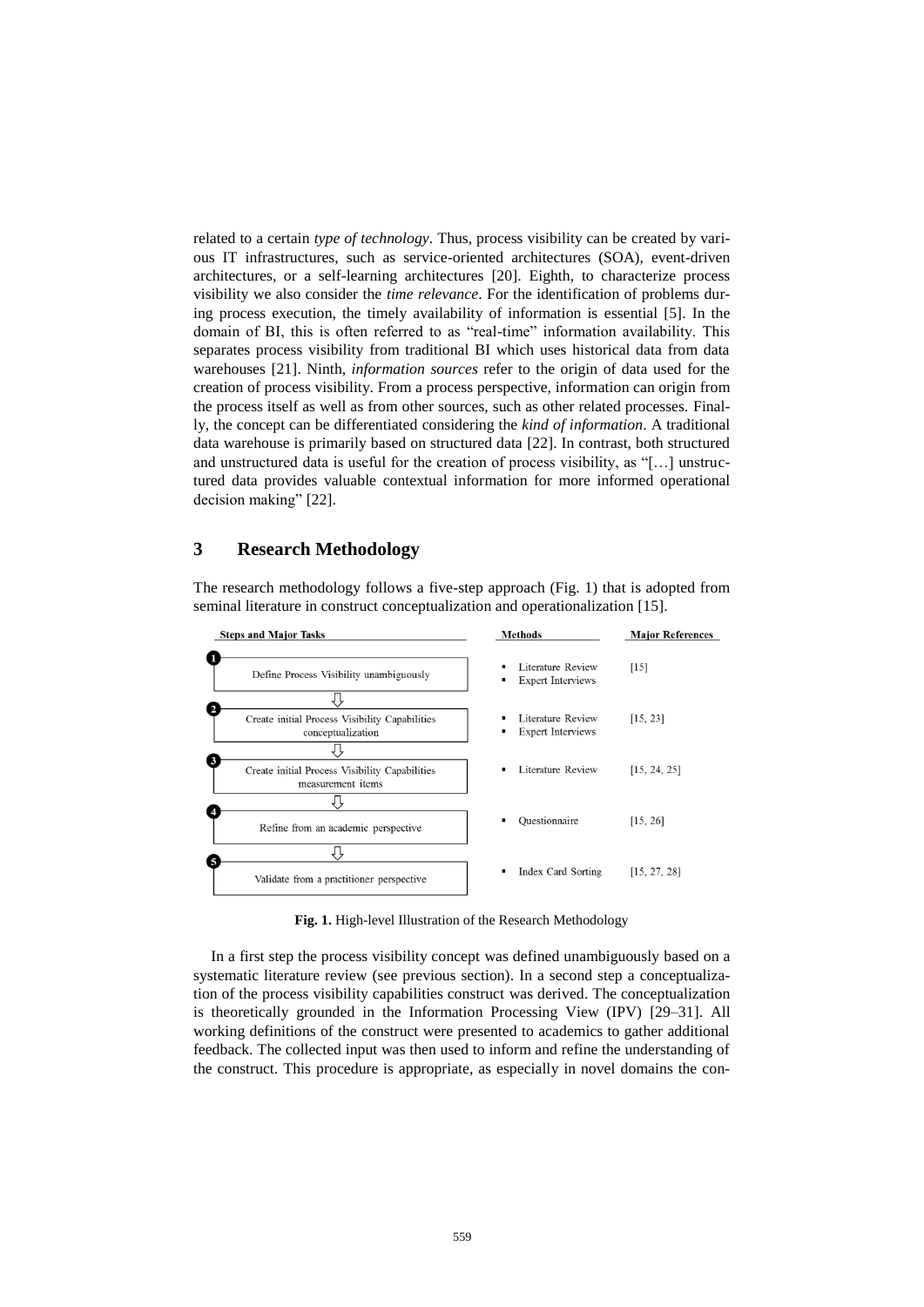related to a certain *type of technology*. Thus, process visibility can be created by various IT infrastructures, such as service-oriented architectures (SOA), event-driven architectures, or a self-learning architectures [20]. Eighth, to characterize process visibility we also consider the *time relevance*. For the identification of problems during process execution, the timely availability of information is essential [5]. In the domain of BI, this is often referred to as "real-time" information availability. This separates process visibility from traditional BI which uses historical data from data warehouses [21]. Ninth, *information sources* refer to the origin of data used for the creation of process visibility. From a process perspective, information can origin from the process itself as well as from other sources, such as other related processes. Finally, the concept can be differentiated considering the *kind of information*. A traditional data warehouse is primarily based on structured data [22]. In contrast, both structured and unstructured data is useful for the creation of process visibility, as "[…] unstructured data provides valuable contextual information for more informed operational decision making" [22].

### **3 Research Methodology**

The research methodology follows a five-step approach (Fig. 1) that is adopted from seminal literature in construct conceptualization and operationalization [15].



**Fig. 1.** High-level Illustration of the Research Methodology

In a first step the process visibility concept was defined unambiguously based on a systematic literature review (see previous section). In a second step a conceptualization of the process visibility capabilities construct was derived. The conceptualization is theoretically grounded in the Information Processing View (IPV) [29–31]. All working definitions of the construct were presented to academics to gather additional feedback. The collected input was then used to inform and refine the understanding of the construct. This procedure is appropriate, as especially in novel domains the con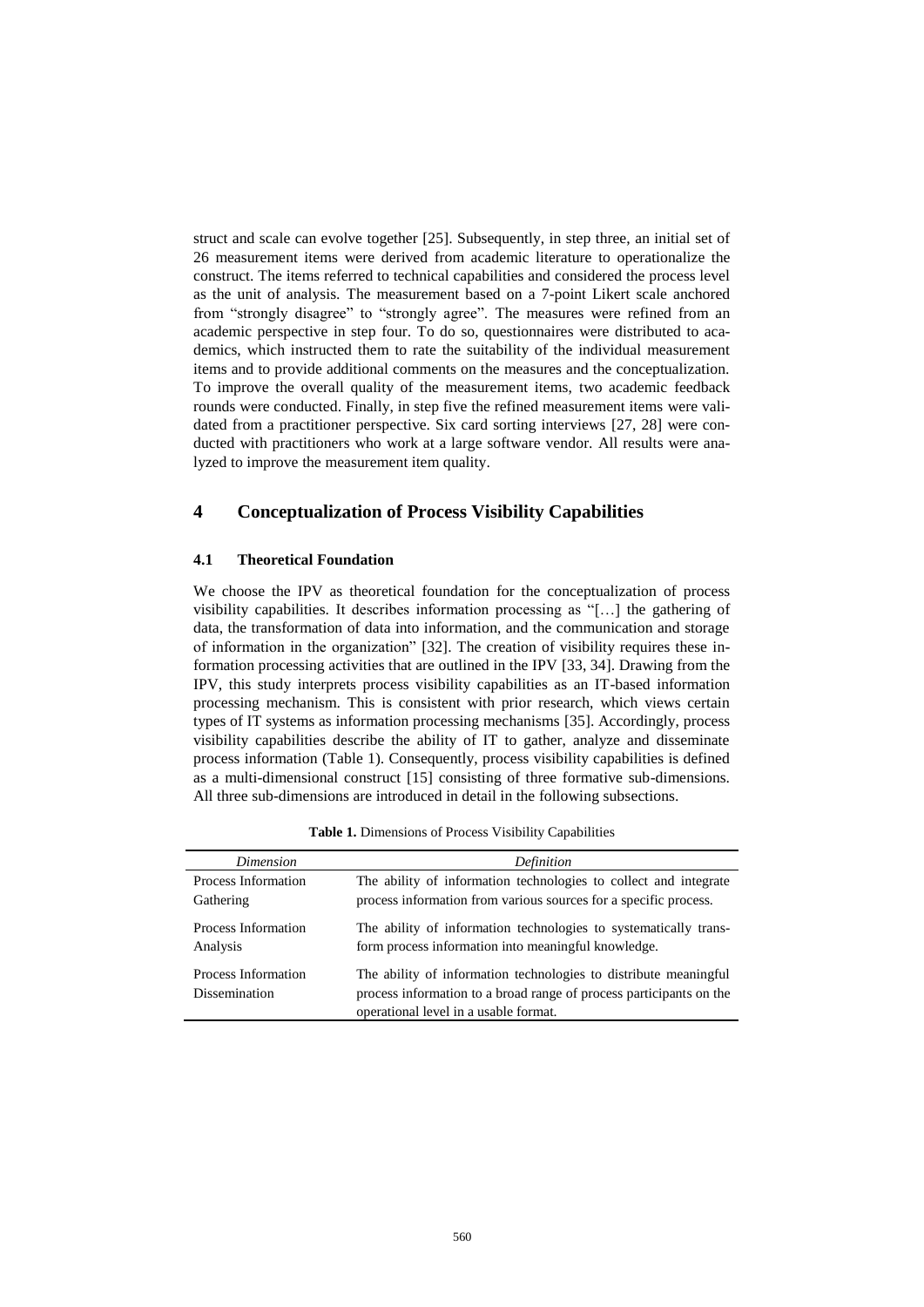struct and scale can evolve together [25]. Subsequently, in step three, an initial set of 26 measurement items were derived from academic literature to operationalize the construct. The items referred to technical capabilities and considered the process level as the unit of analysis. The measurement based on a 7-point Likert scale anchored from "strongly disagree" to "strongly agree". The measures were refined from an academic perspective in step four. To do so, questionnaires were distributed to academics, which instructed them to rate the suitability of the individual measurement items and to provide additional comments on the measures and the conceptualization. To improve the overall quality of the measurement items, two academic feedback rounds were conducted. Finally, in step five the refined measurement items were validated from a practitioner perspective. Six card sorting interviews [27, 28] were conducted with practitioners who work at a large software vendor. All results were analyzed to improve the measurement item quality.

# **4 Conceptualization of Process Visibility Capabilities**

#### **4.1 Theoretical Foundation**

We choose the IPV as theoretical foundation for the conceptualization of process visibility capabilities. It describes information processing as "[…] the gathering of data, the transformation of data into information, and the communication and storage of information in the organization" [32]. The creation of visibility requires these information processing activities that are outlined in the IPV [33, 34]. Drawing from the IPV, this study interprets process visibility capabilities as an IT-based information processing mechanism. This is consistent with prior research, which views certain types of IT systems as information processing mechanisms [35]. Accordingly, process visibility capabilities describe the ability of IT to gather, analyze and disseminate process information (Table 1). Consequently, process visibility capabilities is defined as a multi-dimensional construct [15] consisting of three formative sub-dimensions. All three sub-dimensions are introduced in detail in the following subsections.

| Dimension                                   | Definition                                                                                                                                                                       |
|---------------------------------------------|----------------------------------------------------------------------------------------------------------------------------------------------------------------------------------|
| Process Information                         | The ability of information technologies to collect and integrate                                                                                                                 |
| Gathering                                   | process information from various sources for a specific process.                                                                                                                 |
| Process Information                         | The ability of information technologies to systematically trans-                                                                                                                 |
| Analysis                                    | form process information into meaningful knowledge.                                                                                                                              |
| Process Information<br><b>Dissemination</b> | The ability of information technologies to distribute meaningful<br>process information to a broad range of process participants on the<br>operational level in a usable format. |

**Table 1.** Dimensions of Process Visibility Capabilities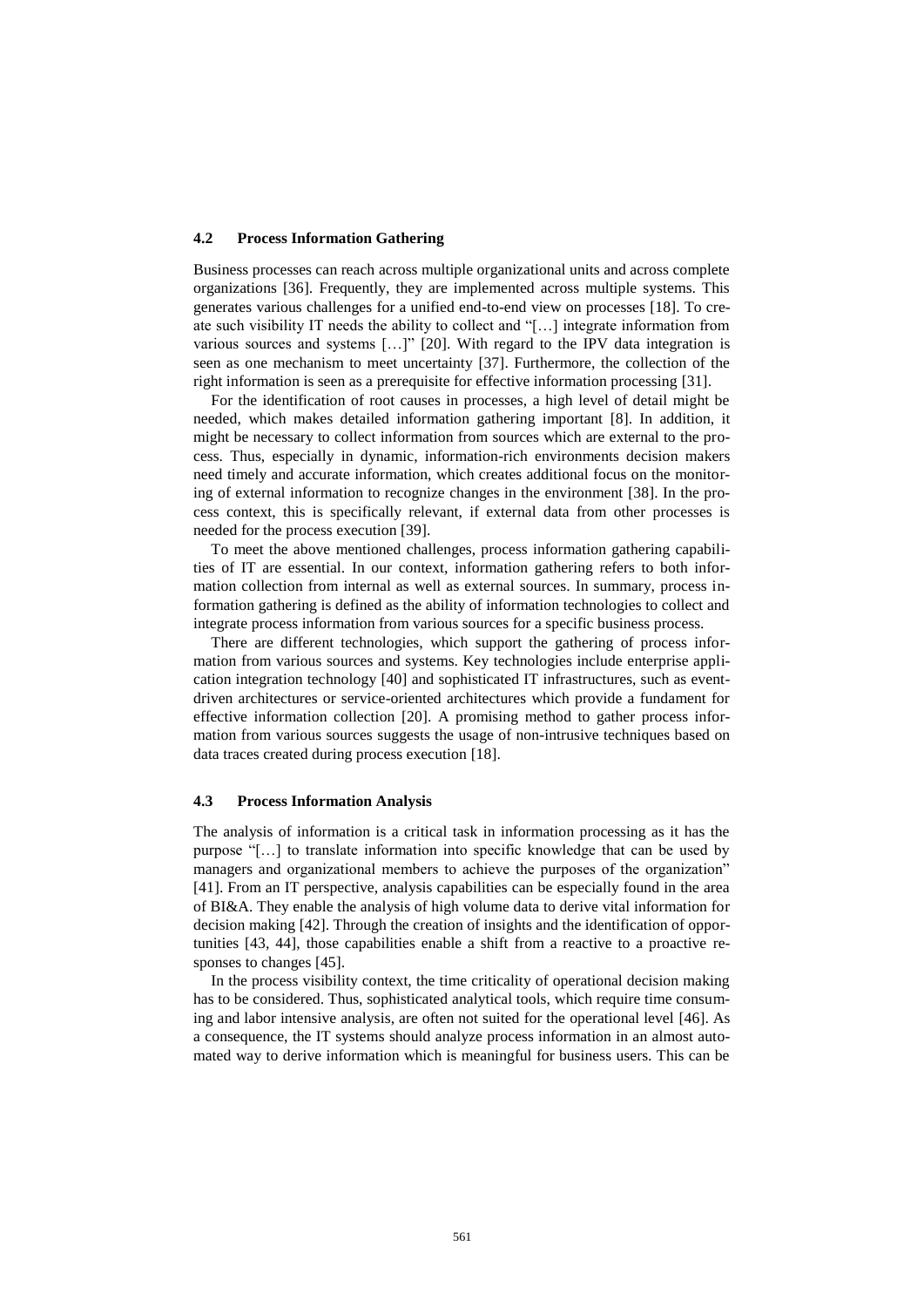#### **4.2 Process Information Gathering**

Business processes can reach across multiple organizational units and across complete organizations [36]. Frequently, they are implemented across multiple systems. This generates various challenges for a unified end-to-end view on processes [18]. To create such visibility IT needs the ability to collect and "[…] integrate information from various sources and systems […]" [20]. With regard to the IPV data integration is seen as one mechanism to meet uncertainty [37]. Furthermore, the collection of the right information is seen as a prerequisite for effective information processing [31].

For the identification of root causes in processes, a high level of detail might be needed, which makes detailed information gathering important [8]. In addition, it might be necessary to collect information from sources which are external to the process. Thus, especially in dynamic, information-rich environments decision makers need timely and accurate information, which creates additional focus on the monitoring of external information to recognize changes in the environment [38]. In the process context, this is specifically relevant, if external data from other processes is needed for the process execution [39].

To meet the above mentioned challenges, process information gathering capabilities of IT are essential. In our context, information gathering refers to both information collection from internal as well as external sources. In summary, process information gathering is defined as the ability of information technologies to collect and integrate process information from various sources for a specific business process.

There are different technologies, which support the gathering of process information from various sources and systems. Key technologies include enterprise application integration technology [40] and sophisticated IT infrastructures, such as eventdriven architectures or service-oriented architectures which provide a fundament for effective information collection [20]. A promising method to gather process information from various sources suggests the usage of non-intrusive techniques based on data traces created during process execution [18].

#### **4.3 Process Information Analysis**

The analysis of information is a critical task in information processing as it has the purpose "[…] to translate information into specific knowledge that can be used by managers and organizational members to achieve the purposes of the organization" [41]. From an IT perspective, analysis capabilities can be especially found in the area of BI&A. They enable the analysis of high volume data to derive vital information for decision making [42]. Through the creation of insights and the identification of opportunities [43, 44], those capabilities enable a shift from a reactive to a proactive responses to changes [45].

In the process visibility context, the time criticality of operational decision making has to be considered. Thus, sophisticated analytical tools, which require time consuming and labor intensive analysis, are often not suited for the operational level [46]. As a consequence, the IT systems should analyze process information in an almost automated way to derive information which is meaningful for business users. This can be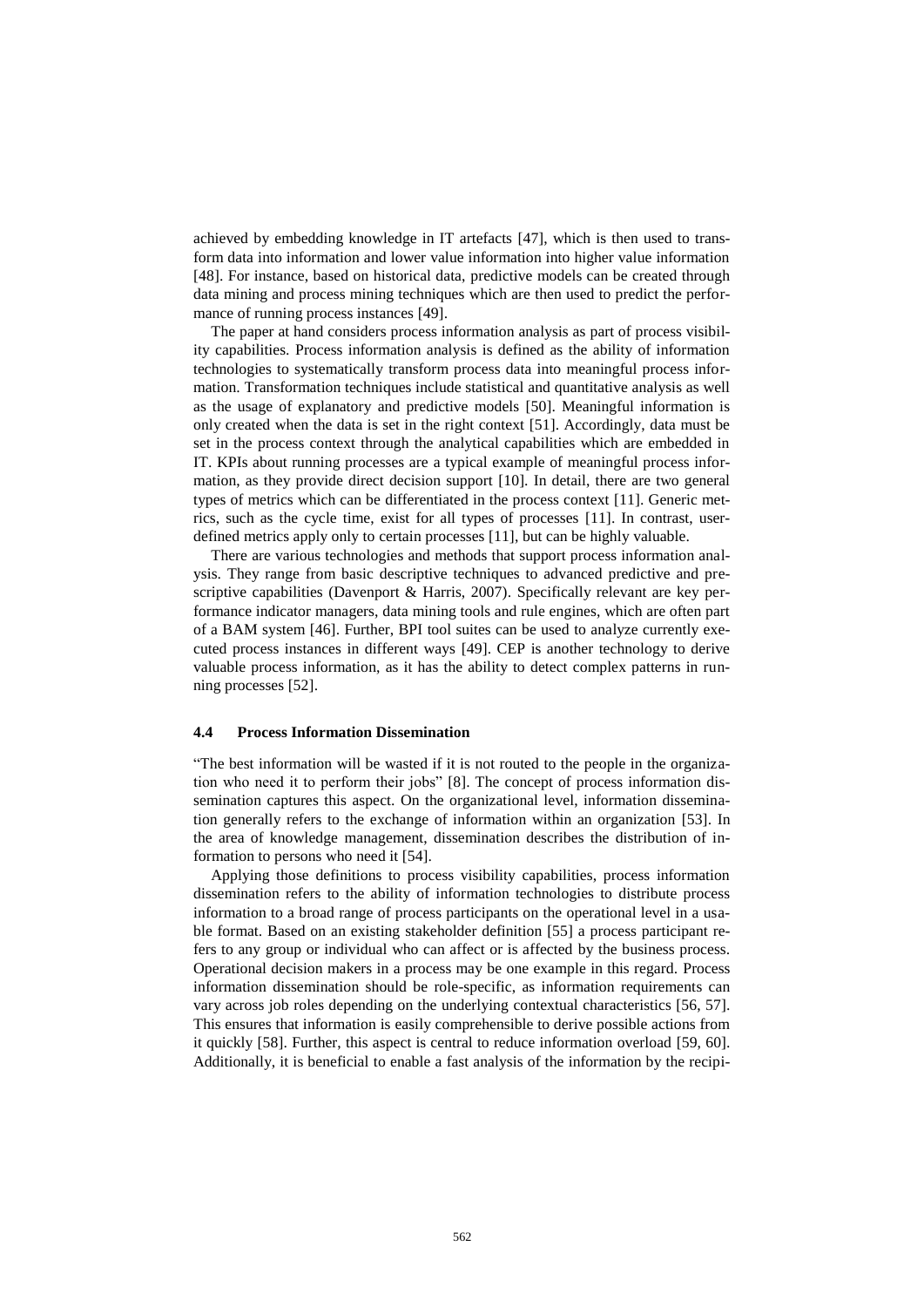achieved by embedding knowledge in IT artefacts [47], which is then used to transform data into information and lower value information into higher value information [48]. For instance, based on historical data, predictive models can be created through data mining and process mining techniques which are then used to predict the performance of running process instances [49].

The paper at hand considers process information analysis as part of process visibility capabilities. Process information analysis is defined as the ability of information technologies to systematically transform process data into meaningful process information. Transformation techniques include statistical and quantitative analysis as well as the usage of explanatory and predictive models [50]. Meaningful information is only created when the data is set in the right context [51]. Accordingly, data must be set in the process context through the analytical capabilities which are embedded in IT. KPIs about running processes are a typical example of meaningful process information, as they provide direct decision support [10]. In detail, there are two general types of metrics which can be differentiated in the process context [11]. Generic metrics, such as the cycle time, exist for all types of processes [11]. In contrast, userdefined metrics apply only to certain processes [11], but can be highly valuable.

There are various technologies and methods that support process information analysis. They range from basic descriptive techniques to advanced predictive and prescriptive capabilities (Davenport & Harris, 2007). Specifically relevant are key performance indicator managers, data mining tools and rule engines, which are often part of a BAM system [46]. Further, BPI tool suites can be used to analyze currently executed process instances in different ways [49]. CEP is another technology to derive valuable process information, as it has the ability to detect complex patterns in running processes [52].

#### **4.4 Process Information Dissemination**

"The best information will be wasted if it is not routed to the people in the organization who need it to perform their jobs" [8]. The concept of process information dissemination captures this aspect. On the organizational level, information dissemination generally refers to the exchange of information within an organization [53]. In the area of knowledge management, dissemination describes the distribution of information to persons who need it [54].

Applying those definitions to process visibility capabilities, process information dissemination refers to the ability of information technologies to distribute process information to a broad range of process participants on the operational level in a usable format. Based on an existing stakeholder definition [55] a process participant refers to any group or individual who can affect or is affected by the business process. Operational decision makers in a process may be one example in this regard. Process information dissemination should be role-specific, as information requirements can vary across job roles depending on the underlying contextual characteristics [56, 57]. This ensures that information is easily comprehensible to derive possible actions from it quickly [58]. Further, this aspect is central to reduce information overload [59, 60]. Additionally, it is beneficial to enable a fast analysis of the information by the recipi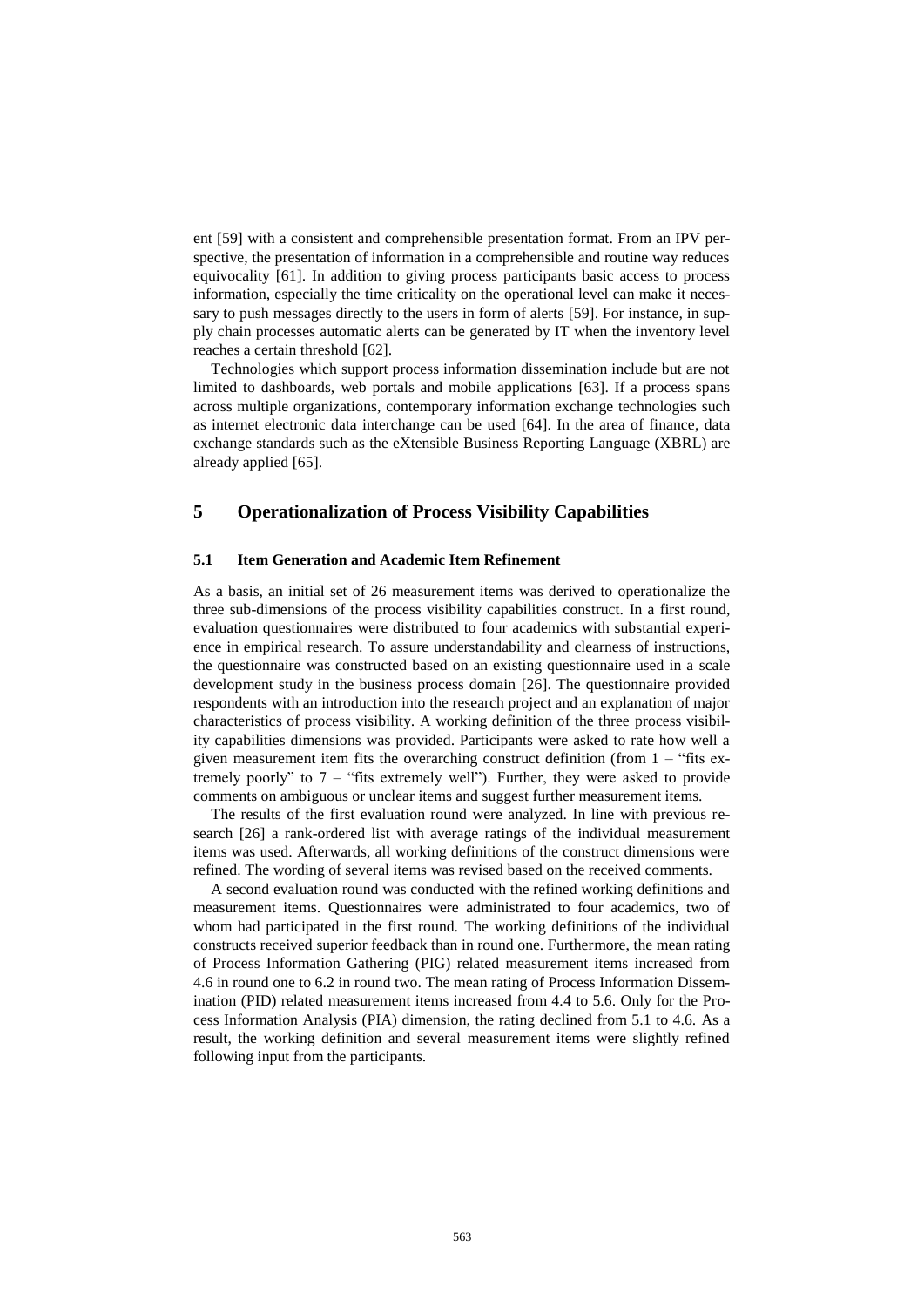ent [59] with a consistent and comprehensible presentation format. From an IPV perspective, the presentation of information in a comprehensible and routine way reduces equivocality [61]. In addition to giving process participants basic access to process information, especially the time criticality on the operational level can make it necessary to push messages directly to the users in form of alerts [59]. For instance, in supply chain processes automatic alerts can be generated by IT when the inventory level reaches a certain threshold [62].

Technologies which support process information dissemination include but are not limited to dashboards, web portals and mobile applications [63]. If a process spans across multiple organizations, contemporary information exchange technologies such as internet electronic data interchange can be used [64]. In the area of finance, data exchange standards such as the eXtensible Business Reporting Language (XBRL) are already applied [65].

# **5 Operationalization of Process Visibility Capabilities**

#### **5.1 Item Generation and Academic Item Refinement**

As a basis, an initial set of 26 measurement items was derived to operationalize the three sub-dimensions of the process visibility capabilities construct. In a first round, evaluation questionnaires were distributed to four academics with substantial experience in empirical research. To assure understandability and clearness of instructions, the questionnaire was constructed based on an existing questionnaire used in a scale development study in the business process domain [26]. The questionnaire provided respondents with an introduction into the research project and an explanation of major characteristics of process visibility. A working definition of the three process visibility capabilities dimensions was provided. Participants were asked to rate how well a given measurement item fits the overarching construct definition (from  $1 -$  "fits extremely poorly" to  $7 -$  "fits extremely well"). Further, they were asked to provide comments on ambiguous or unclear items and suggest further measurement items.

The results of the first evaluation round were analyzed. In line with previous research [26] a rank-ordered list with average ratings of the individual measurement items was used. Afterwards, all working definitions of the construct dimensions were refined. The wording of several items was revised based on the received comments.

A second evaluation round was conducted with the refined working definitions and measurement items. Questionnaires were administrated to four academics, two of whom had participated in the first round. The working definitions of the individual constructs received superior feedback than in round one. Furthermore, the mean rating of Process Information Gathering (PIG) related measurement items increased from 4.6 in round one to 6.2 in round two. The mean rating of Process Information Dissemination (PID) related measurement items increased from 4.4 to 5.6. Only for the Process Information Analysis (PIA) dimension, the rating declined from 5.1 to 4.6. As a result, the working definition and several measurement items were slightly refined following input from the participants.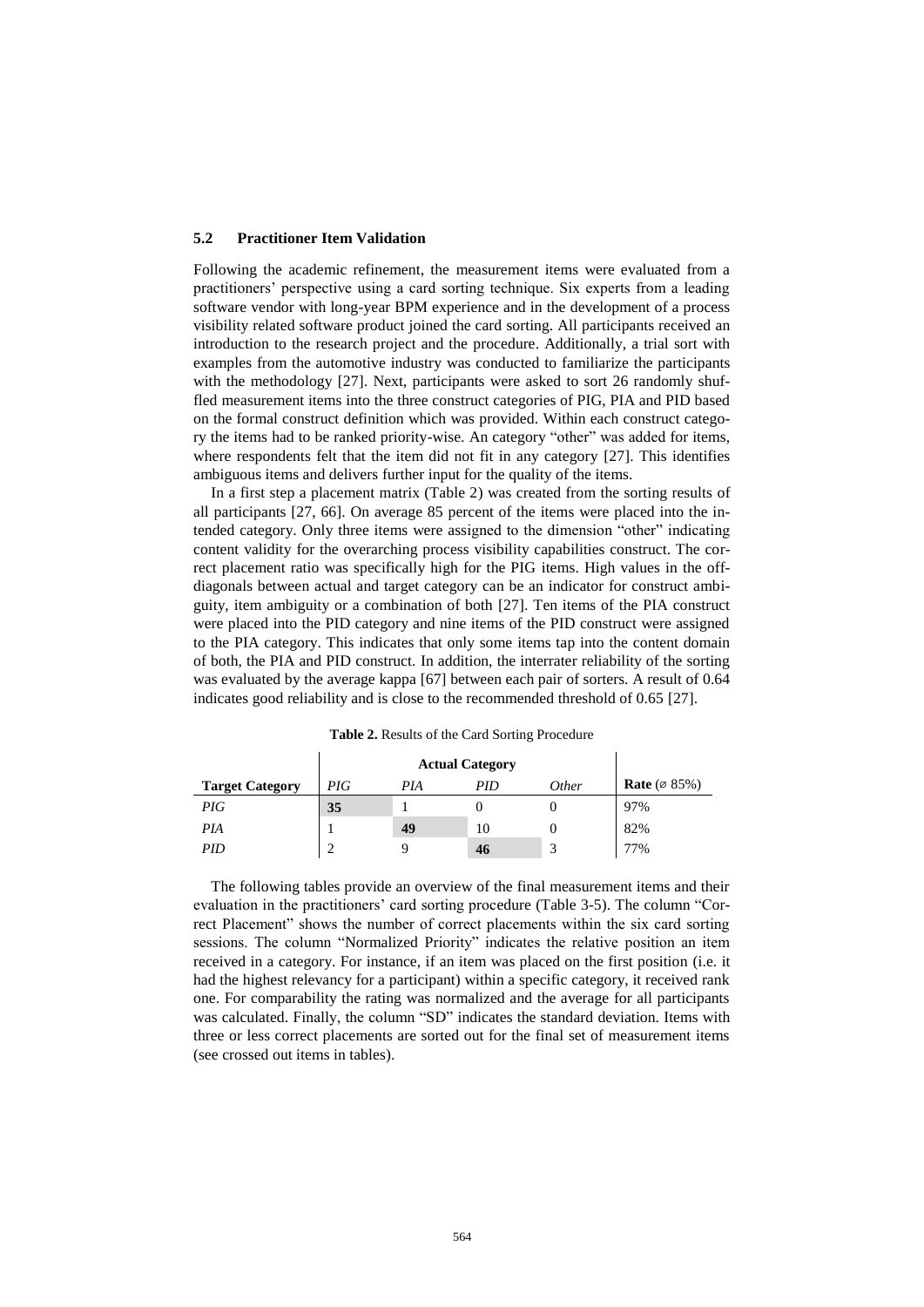#### **5.2 Practitioner Item Validation**

Following the academic refinement, the measurement items were evaluated from a practitioners' perspective using a card sorting technique. Six experts from a leading software vendor with long-year BPM experience and in the development of a process visibility related software product joined the card sorting. All participants received an introduction to the research project and the procedure. Additionally, a trial sort with examples from the automotive industry was conducted to familiarize the participants with the methodology [27]. Next, participants were asked to sort 26 randomly shuffled measurement items into the three construct categories of PIG, PIA and PID based on the formal construct definition which was provided. Within each construct category the items had to be ranked priority-wise. An category "other" was added for items, where respondents felt that the item did not fit in any category [27]. This identifies ambiguous items and delivers further input for the quality of the items.

In a first step a placement matrix (Table 2) was created from the sorting results of all participants [27, 66]. On average 85 percent of the items were placed into the intended category. Only three items were assigned to the dimension "other" indicating content validity for the overarching process visibility capabilities construct. The correct placement ratio was specifically high for the PIG items. High values in the offdiagonals between actual and target category can be an indicator for construct ambiguity, item ambiguity or a combination of both [27]. Ten items of the PIA construct were placed into the PID category and nine items of the PID construct were assigned to the PIA category. This indicates that only some items tap into the content domain of both, the PIA and PID construct. In addition, the interrater reliability of the sorting was evaluated by the average kappa [67] between each pair of sorters. A result of 0.64 indicates good reliability and is close to the recommended threshold of 0.65 [27].

|                        |     | <b>Actual Category</b> |     |              |                                  |
|------------------------|-----|------------------------|-----|--------------|----------------------------------|
| <b>Target Category</b> | PIG | PIA                    | PID | <i>Other</i> | <b>Rate</b> ( $\varnothing$ 85%) |
| PIG                    | 35  |                        |     |              | 97%                              |
| PIA                    |     | 49                     | 10  |              | 82%                              |
| PID                    |     |                        | 46  |              | 77%                              |

**Table 2.** Results of the Card Sorting Procedure

The following tables provide an overview of the final measurement items and their evaluation in the practitioners' card sorting procedure (Table 3-5). The column "Correct Placement" shows the number of correct placements within the six card sorting sessions. The column "Normalized Priority" indicates the relative position an item received in a category. For instance, if an item was placed on the first position (i.e. it had the highest relevancy for a participant) within a specific category, it received rank one. For comparability the rating was normalized and the average for all participants was calculated. Finally, the column "SD" indicates the standard deviation. Items with three or less correct placements are sorted out for the final set of measurement items (see crossed out items in tables).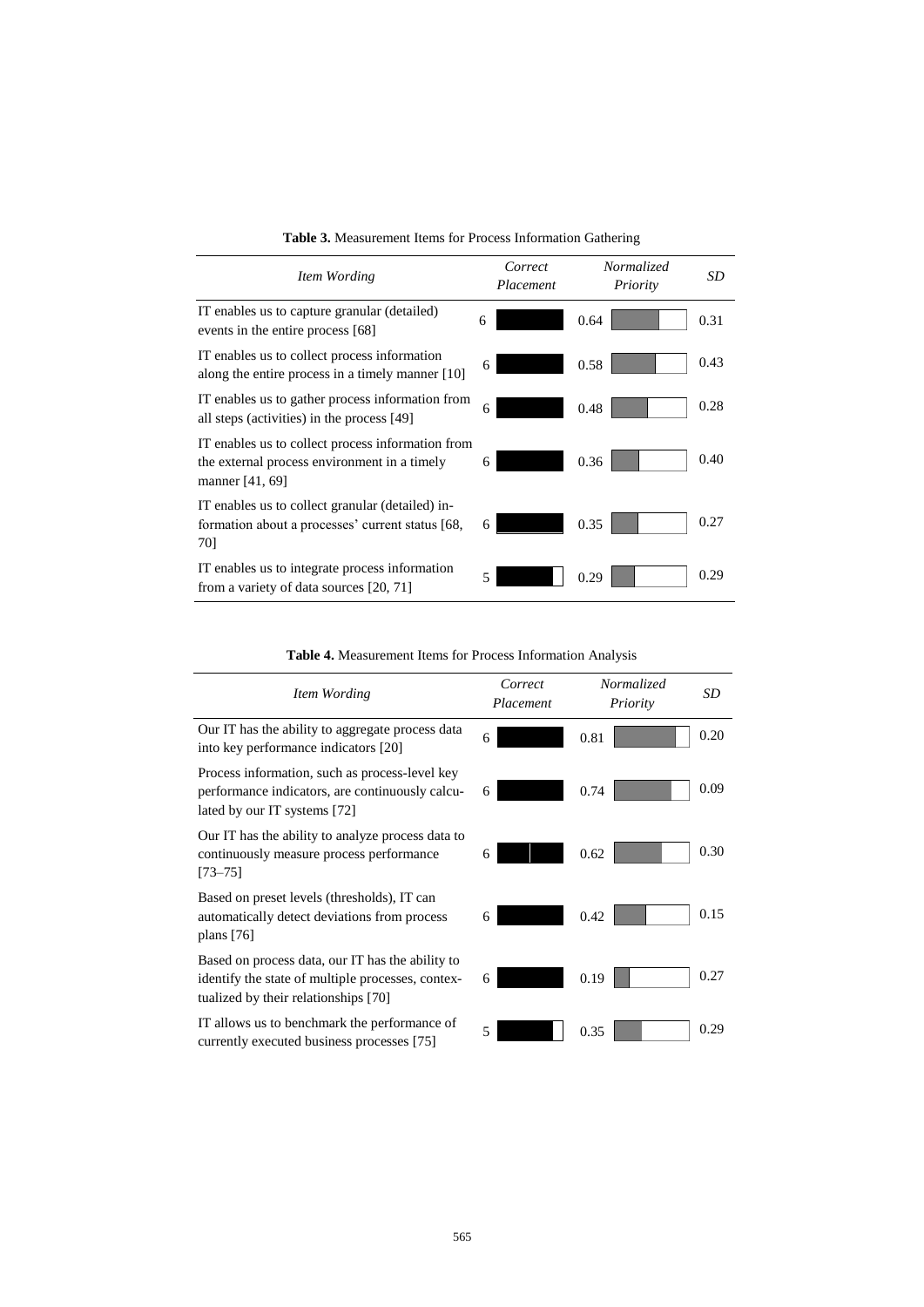| Item Wording                                                                                                         | Correct<br>Placement | Normalized<br>Priority | SD   |
|----------------------------------------------------------------------------------------------------------------------|----------------------|------------------------|------|
| IT enables us to capture granular (detailed)<br>events in the entire process [68]                                    | 6                    | 0.64                   | 0.31 |
| IT enables us to collect process information<br>along the entire process in a timely manner [10]                     | 6                    | 0.58                   | 0.43 |
| IT enables us to gather process information from<br>all steps (activities) in the process [49]                       | 6                    | 0.48                   | 0.28 |
| IT enables us to collect process information from<br>the external process environment in a timely<br>manner [41, 69] | 6                    | 0.36                   | 0.40 |
| IT enables us to collect granular (detailed) in-<br>formation about a processes' current status [68,<br>70]          | 6                    | 0.35                   | 0.27 |
| IT enables us to integrate process information<br>from a variety of data sources [20, 71]                            | 5                    | 0.29                   | 0.29 |

|  | Table 3. Measurement Items for Process Information Gathering |  |  |  |
|--|--------------------------------------------------------------|--|--|--|
|  |                                                              |  |  |  |

**Table 4.** Measurement Items for Process Information Analysis

| Item Wording                                                                                                                                  | Correct<br>Placement | Normalized<br>Priority | SD   |
|-----------------------------------------------------------------------------------------------------------------------------------------------|----------------------|------------------------|------|
| Our IT has the ability to aggregate process data<br>into key performance indicators [20]                                                      | 6                    | 0.81                   | 0.20 |
| Process information, such as process-level key<br>performance indicators, are continuously calcu-<br>lated by our IT systems [72]             | 6                    | 0.74                   | 0.09 |
| Our IT has the ability to analyze process data to<br>continuously measure process performance<br>$[73 - 75]$                                  | 6                    | 0.62                   | 0.30 |
| Based on preset levels (thresholds), IT can<br>automatically detect deviations from process<br>plans $[76]$                                   | 6                    | 0.42                   | 0.15 |
| Based on process data, our IT has the ability to<br>identify the state of multiple processes, contex-<br>tualized by their relationships [70] | 6                    | 0.19                   | 0.27 |
| IT allows us to benchmark the performance of<br>currently executed business processes [75]                                                    | 5                    | 0.35                   | 0.29 |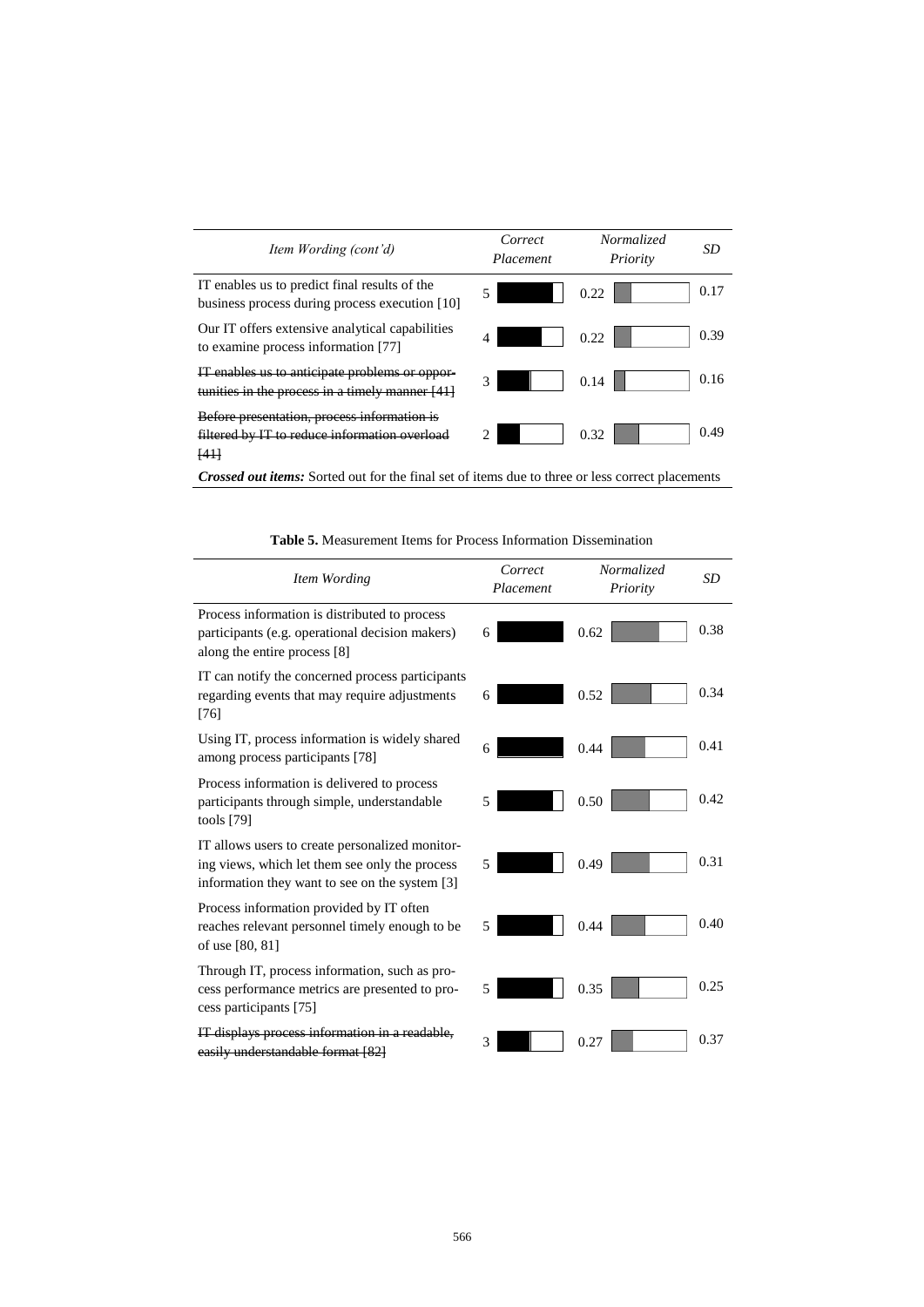| Item Wording (cont'd)                                                                                           | Correct<br>Placement | Normalized<br>Priority | SD   |
|-----------------------------------------------------------------------------------------------------------------|----------------------|------------------------|------|
| IT enables us to predict final results of the<br>business process during process execution [10]                 | 5                    | 0.22                   | 0.17 |
| Our IT offers extensive analytical capabilities<br>to examine process information [77]                          | 4                    | 0.22                   | 0.39 |
| enables us to anticipate problems or oppor-<br>tunities in the process in a timely manner [41]                  | 3                    | 0.14                   | 0.16 |
| Before presentation, process information is<br>filtered by IT to reduce information overload<br><del>[41]</del> |                      | 0.32                   | 0.49 |
| .                                                                                                               |                      |                        |      |

*Crossed out items:* Sorted out for the final set of items due to three or less correct placements

| Item Wording                                                                                                                                        | Correct<br>Placement | Normalized<br>Priority | <b>SD</b> |
|-----------------------------------------------------------------------------------------------------------------------------------------------------|----------------------|------------------------|-----------|
| Process information is distributed to process<br>participants (e.g. operational decision makers)<br>along the entire process [8]                    | 6                    | 0.62                   | 0.38      |
| IT can notify the concerned process participants<br>regarding events that may require adjustments<br>[76]                                           | 6                    | 0.52                   | 0.34      |
| Using IT, process information is widely shared<br>among process participants [78]                                                                   | 6                    | 0.44                   | 0.41      |
| Process information is delivered to process<br>participants through simple, understandable<br>tools [79]                                            | 5                    | 0.50                   | 0.42      |
| IT allows users to create personalized monitor-<br>ing views, which let them see only the process<br>information they want to see on the system [3] | 5                    | 0.49                   | 0.31      |
| Process information provided by IT often<br>reaches relevant personnel timely enough to be<br>of use [80, 81]                                       | 5                    | 0.44                   | 0.40      |
| Through IT, process information, such as pro-<br>cess performance metrics are presented to pro-<br>cess participants [75]                           | 5                    | 0.35                   | 0.25      |
| IT displays process information in a readable,<br>easily understandable format [82]                                                                 | 3                    | 0.27                   | 0.37      |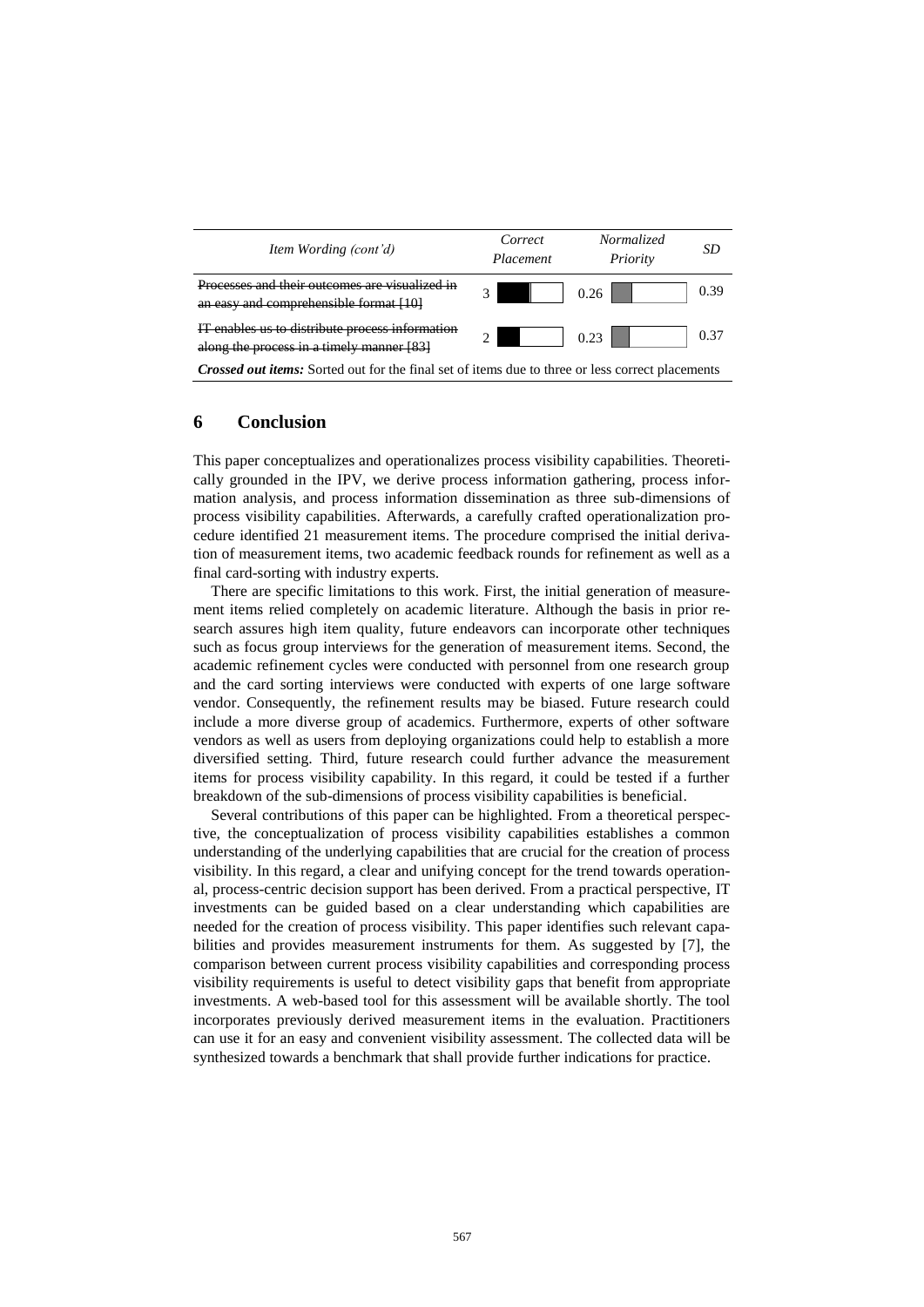

# **6 Conclusion**

This paper conceptualizes and operationalizes process visibility capabilities. Theoretically grounded in the IPV, we derive process information gathering, process information analysis, and process information dissemination as three sub-dimensions of process visibility capabilities. Afterwards, a carefully crafted operationalization procedure identified 21 measurement items. The procedure comprised the initial derivation of measurement items, two academic feedback rounds for refinement as well as a final card-sorting with industry experts.

There are specific limitations to this work. First, the initial generation of measurement items relied completely on academic literature. Although the basis in prior research assures high item quality, future endeavors can incorporate other techniques such as focus group interviews for the generation of measurement items. Second, the academic refinement cycles were conducted with personnel from one research group and the card sorting interviews were conducted with experts of one large software vendor. Consequently, the refinement results may be biased. Future research could include a more diverse group of academics. Furthermore, experts of other software vendors as well as users from deploying organizations could help to establish a more diversified setting. Third, future research could further advance the measurement items for process visibility capability. In this regard, it could be tested if a further breakdown of the sub-dimensions of process visibility capabilities is beneficial.

Several contributions of this paper can be highlighted. From a theoretical perspective, the conceptualization of process visibility capabilities establishes a common understanding of the underlying capabilities that are crucial for the creation of process visibility. In this regard, a clear and unifying concept for the trend towards operational, process-centric decision support has been derived. From a practical perspective, IT investments can be guided based on a clear understanding which capabilities are needed for the creation of process visibility. This paper identifies such relevant capabilities and provides measurement instruments for them. As suggested by [7], the comparison between current process visibility capabilities and corresponding process visibility requirements is useful to detect visibility gaps that benefit from appropriate investments. A web-based tool for this assessment will be available shortly. The tool incorporates previously derived measurement items in the evaluation. Practitioners can use it for an easy and convenient visibility assessment. The collected data will be synthesized towards a benchmark that shall provide further indications for practice.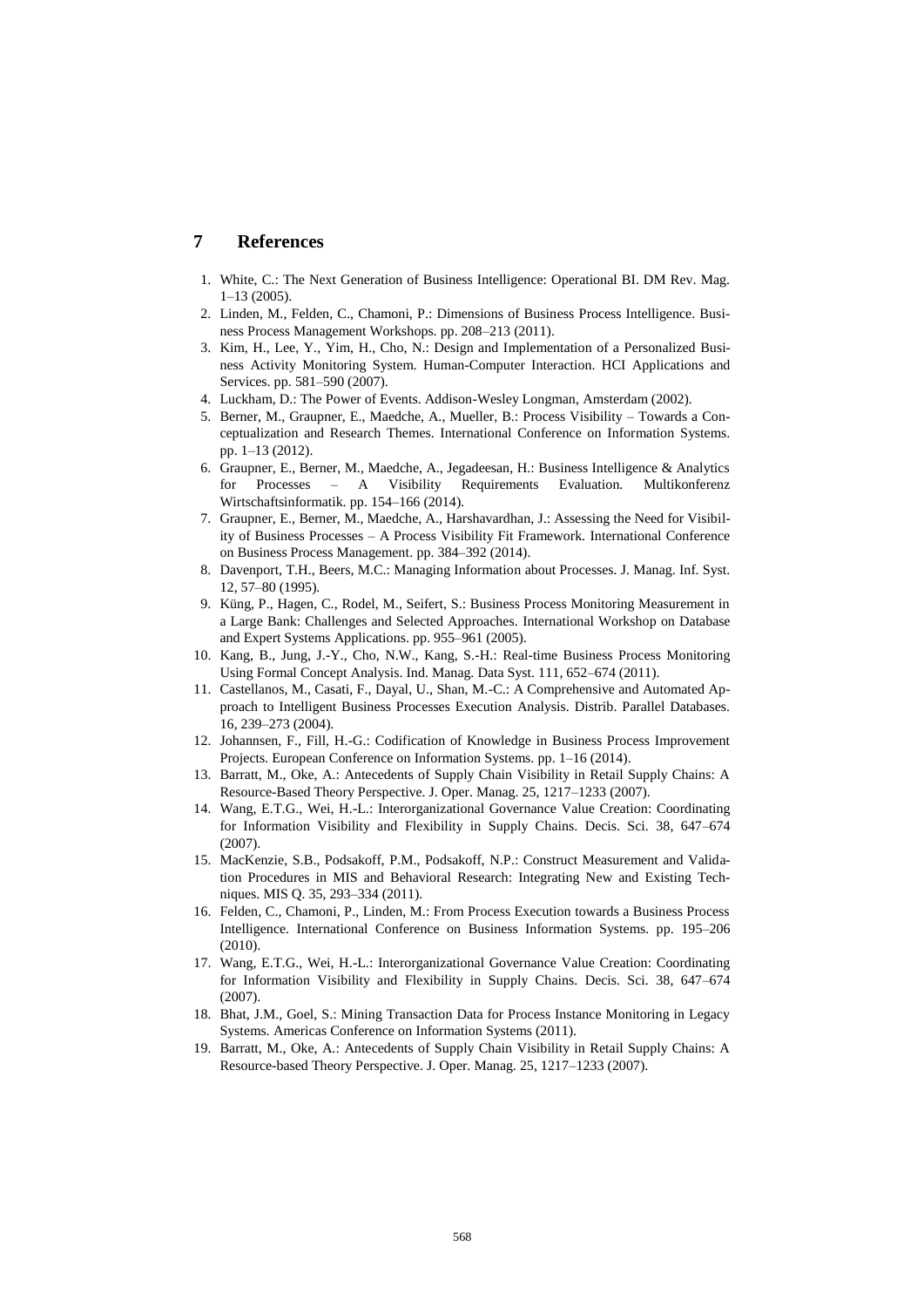# **7 References**

- 1. White, C.: The Next Generation of Business Intelligence: Operational BI. DM Rev. Mag. 1–13 (2005).
- 2. Linden, M., Felden, C., Chamoni, P.: Dimensions of Business Process Intelligence. Business Process Management Workshops. pp. 208–213 (2011).
- 3. Kim, H., Lee, Y., Yim, H., Cho, N.: Design and Implementation of a Personalized Business Activity Monitoring System. Human-Computer Interaction. HCI Applications and Services. pp. 581–590 (2007).
- 4. Luckham, D.: The Power of Events. Addison-Wesley Longman, Amsterdam (2002).
- 5. Berner, M., Graupner, E., Maedche, A., Mueller, B.: Process Visibility Towards a Conceptualization and Research Themes. International Conference on Information Systems. pp. 1–13 (2012).
- 6. Graupner, E., Berner, M., Maedche, A., Jegadeesan, H.: Business Intelligence & Analytics for Processes – A Visibility Requirements Evaluation. Multikonferenz Wirtschaftsinformatik. pp. 154–166 (2014).
- 7. Graupner, E., Berner, M., Maedche, A., Harshavardhan, J.: Assessing the Need for Visibility of Business Processes – A Process Visibility Fit Framework. International Conference on Business Process Management. pp. 384–392 (2014).
- 8. Davenport, T.H., Beers, M.C.: Managing Information about Processes. J. Manag. Inf. Syst. 12, 57–80 (1995).
- 9. Küng, P., Hagen, C., Rodel, M., Seifert, S.: Business Process Monitoring Measurement in a Large Bank: Challenges and Selected Approaches. International Workshop on Database and Expert Systems Applications. pp. 955–961 (2005).
- 10. Kang, B., Jung, J.-Y., Cho, N.W., Kang, S.-H.: Real-time Business Process Monitoring Using Formal Concept Analysis. Ind. Manag. Data Syst. 111, 652–674 (2011).
- 11. Castellanos, M., Casati, F., Dayal, U., Shan, M.-C.: A Comprehensive and Automated Approach to Intelligent Business Processes Execution Analysis. Distrib. Parallel Databases. 16, 239–273 (2004).
- 12. Johannsen, F., Fill, H.-G.: Codification of Knowledge in Business Process Improvement Projects. European Conference on Information Systems. pp. 1–16 (2014).
- 13. Barratt, M., Oke, A.: Antecedents of Supply Chain Visibility in Retail Supply Chains: A Resource-Based Theory Perspective. J. Oper. Manag. 25, 1217–1233 (2007).
- 14. Wang, E.T.G., Wei, H.-L.: Interorganizational Governance Value Creation: Coordinating for Information Visibility and Flexibility in Supply Chains. Decis. Sci. 38, 647–674 (2007).
- 15. MacKenzie, S.B., Podsakoff, P.M., Podsakoff, N.P.: Construct Measurement and Validation Procedures in MIS and Behavioral Research: Integrating New and Existing Techniques. MIS Q. 35, 293–334 (2011).
- 16. Felden, C., Chamoni, P., Linden, M.: From Process Execution towards a Business Process Intelligence. International Conference on Business Information Systems. pp. 195–206 (2010).
- 17. Wang, E.T.G., Wei, H.-L.: Interorganizational Governance Value Creation: Coordinating for Information Visibility and Flexibility in Supply Chains. Decis. Sci. 38, 647–674  $(2007)$
- 18. Bhat, J.M., Goel, S.: Mining Transaction Data for Process Instance Monitoring in Legacy Systems. Americas Conference on Information Systems (2011).
- 19. Barratt, M., Oke, A.: Antecedents of Supply Chain Visibility in Retail Supply Chains: A Resource-based Theory Perspective. J. Oper. Manag. 25, 1217–1233 (2007).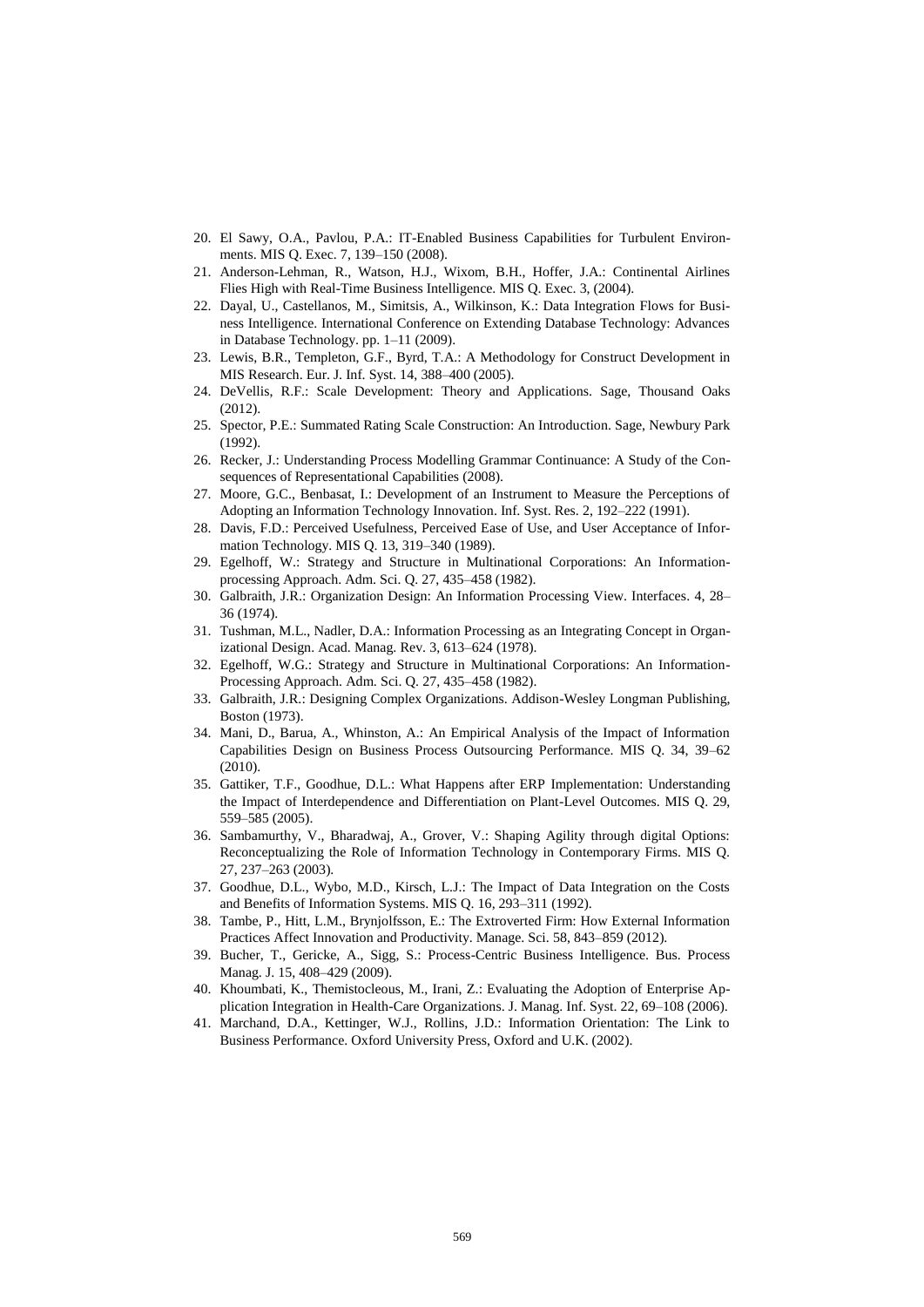- 20. El Sawy, O.A., Pavlou, P.A.: IT-Enabled Business Capabilities for Turbulent Environments. MIS Q. Exec. 7, 139–150 (2008).
- 21. Anderson-Lehman, R., Watson, H.J., Wixom, B.H., Hoffer, J.A.: Continental Airlines Flies High with Real-Time Business Intelligence. MIS Q. Exec. 3, (2004).
- 22. Dayal, U., Castellanos, M., Simitsis, A., Wilkinson, K.: Data Integration Flows for Business Intelligence. International Conference on Extending Database Technology: Advances in Database Technology. pp. 1–11 (2009).
- 23. Lewis, B.R., Templeton, G.F., Byrd, T.A.: A Methodology for Construct Development in MIS Research. Eur. J. Inf. Syst. 14, 388–400 (2005).
- 24. DeVellis, R.F.: Scale Development: Theory and Applications. Sage, Thousand Oaks (2012).
- 25. Spector, P.E.: Summated Rating Scale Construction: An Introduction. Sage, Newbury Park (1992).
- 26. Recker, J.: Understanding Process Modelling Grammar Continuance: A Study of the Consequences of Representational Capabilities (2008).
- 27. Moore, G.C., Benbasat, I.: Development of an Instrument to Measure the Perceptions of Adopting an Information Technology Innovation. Inf. Syst. Res. 2, 192–222 (1991).
- 28. Davis, F.D.: Perceived Usefulness, Perceived Ease of Use, and User Acceptance of Information Technology. MIS Q. 13, 319–340 (1989).
- 29. Egelhoff, W.: Strategy and Structure in Multinational Corporations: An Informationprocessing Approach. Adm. Sci. Q. 27, 435–458 (1982).
- 30. Galbraith, J.R.: Organization Design: An Information Processing View. Interfaces. 4, 28– 36 (1974).
- 31. Tushman, M.L., Nadler, D.A.: Information Processing as an Integrating Concept in Organizational Design. Acad. Manag. Rev. 3, 613–624 (1978).
- 32. Egelhoff, W.G.: Strategy and Structure in Multinational Corporations: An Information-Processing Approach. Adm. Sci. Q. 27, 435–458 (1982).
- 33. Galbraith, J.R.: Designing Complex Organizations. Addison-Wesley Longman Publishing, Boston (1973).
- 34. Mani, D., Barua, A., Whinston, A.: An Empirical Analysis of the Impact of Information Capabilities Design on Business Process Outsourcing Performance. MIS Q. 34, 39–62 (2010).
- 35. Gattiker, T.F., Goodhue, D.L.: What Happens after ERP Implementation: Understanding the Impact of Interdependence and Differentiation on Plant-Level Outcomes. MIS Q. 29, 559–585 (2005).
- 36. Sambamurthy, V., Bharadwaj, A., Grover, V.: Shaping Agility through digital Options: Reconceptualizing the Role of Information Technology in Contemporary Firms. MIS Q. 27, 237–263 (2003).
- 37. Goodhue, D.L., Wybo, M.D., Kirsch, L.J.: The Impact of Data Integration on the Costs and Benefits of Information Systems. MIS Q. 16, 293–311 (1992).
- 38. Tambe, P., Hitt, L.M., Brynjolfsson, E.: The Extroverted Firm: How External Information Practices Affect Innovation and Productivity. Manage. Sci. 58, 843–859 (2012).
- 39. Bucher, T., Gericke, A., Sigg, S.: Process-Centric Business Intelligence. Bus. Process Manag. J. 15, 408–429 (2009).
- 40. Khoumbati, K., Themistocleous, M., Irani, Z.: Evaluating the Adoption of Enterprise Application Integration in Health-Care Organizations. J. Manag. Inf. Syst. 22, 69–108 (2006).
- 41. Marchand, D.A., Kettinger, W.J., Rollins, J.D.: Information Orientation: The Link to Business Performance. Oxford University Press, Oxford and U.K. (2002).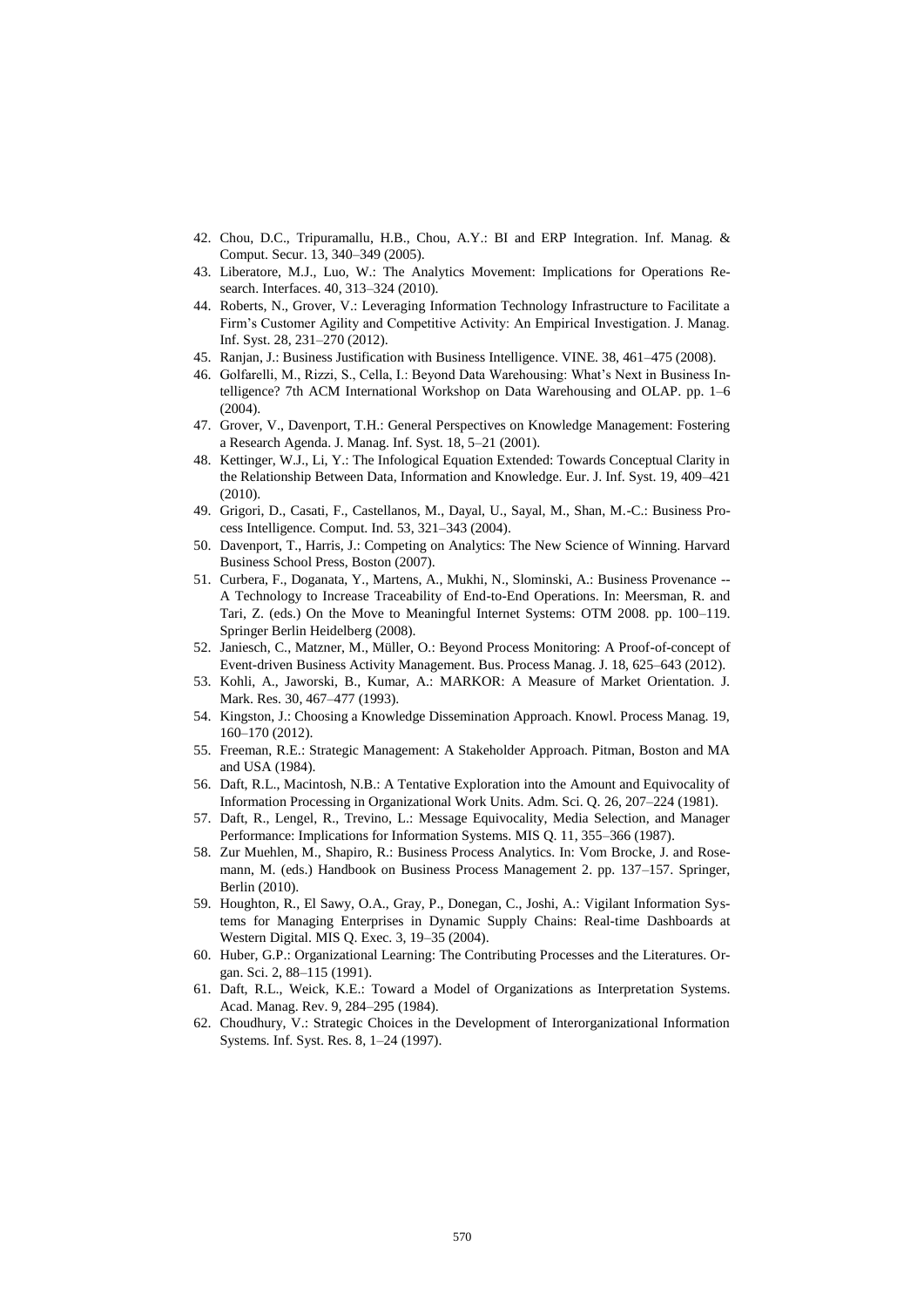- 42. Chou, D.C., Tripuramallu, H.B., Chou, A.Y.: BI and ERP Integration. Inf. Manag. & Comput. Secur. 13, 340–349 (2005).
- 43. Liberatore, M.J., Luo, W.: The Analytics Movement: Implications for Operations Research. Interfaces. 40, 313–324 (2010).
- 44. Roberts, N., Grover, V.: Leveraging Information Technology Infrastructure to Facilitate a Firm's Customer Agility and Competitive Activity: An Empirical Investigation. J. Manag. Inf. Syst. 28, 231–270 (2012).
- 45. Ranjan, J.: Business Justification with Business Intelligence. VINE. 38, 461–475 (2008).
- 46. Golfarelli, M., Rizzi, S., Cella, I.: Beyond Data Warehousing: What's Next in Business Intelligence? 7th ACM International Workshop on Data Warehousing and OLAP. pp. 1–6 (2004).
- 47. Grover, V., Davenport, T.H.: General Perspectives on Knowledge Management: Fostering a Research Agenda. J. Manag. Inf. Syst. 18, 5–21 (2001).
- 48. Kettinger, W.J., Li, Y.: The Infological Equation Extended: Towards Conceptual Clarity in the Relationship Between Data, Information and Knowledge. Eur. J. Inf. Syst. 19, 409–421 (2010).
- 49. Grigori, D., Casati, F., Castellanos, M., Dayal, U., Sayal, M., Shan, M.-C.: Business Process Intelligence. Comput. Ind. 53, 321–343 (2004).
- 50. Davenport, T., Harris, J.: Competing on Analytics: The New Science of Winning. Harvard Business School Press, Boston (2007).
- 51. Curbera, F., Doganata, Y., Martens, A., Mukhi, N., Slominski, A.: Business Provenance -- A Technology to Increase Traceability of End-to-End Operations. In: Meersman, R. and Tari, Z. (eds.) On the Move to Meaningful Internet Systems: OTM 2008. pp. 100–119. Springer Berlin Heidelberg (2008).
- 52. Janiesch, C., Matzner, M., Müller, O.: Beyond Process Monitoring: A Proof-of-concept of Event-driven Business Activity Management. Bus. Process Manag. J. 18, 625–643 (2012).
- 53. Kohli, A., Jaworski, B., Kumar, A.: MARKOR: A Measure of Market Orientation. J. Mark. Res. 30, 467–477 (1993).
- 54. Kingston, J.: Choosing a Knowledge Dissemination Approach. Knowl. Process Manag. 19, 160–170 (2012).
- 55. Freeman, R.E.: Strategic Management: A Stakeholder Approach. Pitman, Boston and MA and USA (1984).
- 56. Daft, R.L., Macintosh, N.B.: A Tentative Exploration into the Amount and Equivocality of Information Processing in Organizational Work Units. Adm. Sci. Q. 26, 207–224 (1981).
- 57. Daft, R., Lengel, R., Trevino, L.: Message Equivocality, Media Selection, and Manager Performance: Implications for Information Systems. MIS Q. 11, 355–366 (1987).
- 58. Zur Muehlen, M., Shapiro, R.: Business Process Analytics. In: Vom Brocke, J. and Rosemann, M. (eds.) Handbook on Business Process Management 2. pp. 137–157. Springer, Berlin (2010).
- 59. Houghton, R., El Sawy, O.A., Gray, P., Donegan, C., Joshi, A.: Vigilant Information Systems for Managing Enterprises in Dynamic Supply Chains: Real-time Dashboards at Western Digital. MIS Q. Exec. 3, 19–35 (2004).
- 60. Huber, G.P.: Organizational Learning: The Contributing Processes and the Literatures. Organ. Sci. 2, 88–115 (1991).
- 61. Daft, R.L., Weick, K.E.: Toward a Model of Organizations as Interpretation Systems. Acad. Manag. Rev. 9, 284–295 (1984).
- 62. Choudhury, V.: Strategic Choices in the Development of Interorganizational Information Systems. Inf. Syst. Res. 8, 1–24 (1997).